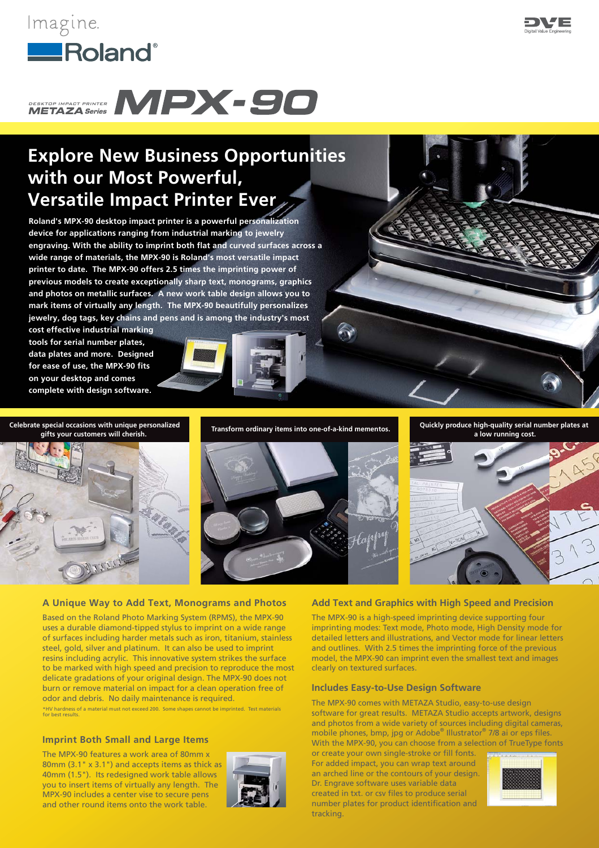



# **Explore New Business Opportunities with our Most Powerful, Versatile Impact Printer Ever**

**Roland's MPX-90 desktop impact printer is a powerful personalization device for applications ranging from industrial marking to jewelry engraving. With the ability to imprint both flat and curved surfaces across a wide range of materials, the MPX-90 is Roland's most versatile impact printer to date. The MPX-90 offers 2.5 times the imprinting power of previous models to create exceptionally sharp text, monograms, graphics and photos on metallic surfaces. A new work table design allows you to mark items of virtually any length. The MPX-90 beautifully personalizes jewelry, dog tags, key chains and pens and is among the industry's most** 

**cost effective industrial marking tools for serial number plates, data plates and more. Designed for ease of use, the MPX-90 fits on your desktop and comes complete with design software.** 



**Celebrate special occasions with unique personalized** 



**gifts your customers will cherish. Transform ordinary items into one-of-a-kind mementos. Quickly produce high-quality serial number plates at** 





## **A Unique Way to Add Text, Monograms and Photos**

Based on the Roland Photo Marking System (RPMS), the MPX-90 uses a durable diamond-tipped stylus to imprint on a wide range of surfaces including harder metals such as iron, titanium, stainless steel, gold, silver and platinum. It can also be used to imprint resins including acrylic. This innovative system strikes the surface to be marked with high speed and precision to reproduce the most delicate gradations of your original design. The MPX-90 does not burn or remove material on impact for a clean operation free of odor and debris. No daily maintenance is required. \*HV hardness of a material must not exceed 200. Some shapes cannot be imprinted. Test materials for best results.

## **Imprint Both Small and Large Items**

The MPX-90 features a work area of 80mm x 80mm (3.1" x 3.1") and accepts items as thick as 40mm (1.5"). Its redesigned work table allows you to insert items of virtually any length. The MPX-90 includes a center vise to secure pens and other round items onto the work table.



# **Add Text and Graphics with High Speed and Precision**

The MPX-90 is a high-speed imprinting device supporting four imprinting modes: Text mode, Photo mode, High Density mode for detailed letters and illustrations, and Vector mode for linear letters and outlines. With 2.5 times the imprinting force of the previous model, the MPX-90 can imprint even the smallest text and images clearly on textured surfaces.

# **Includes Easy-to-Use Design Software**

The MPX-90 comes with METAZA Studio, easy-to-use design software for great results. METAZA Studio accepts artwork, designs and photos from a wide variety of sources including digital cameras, mobile phones, bmp, jpg or Adobe® Illustrator® 7/8 ai or eps files. With the MPX-90, you can choose from a selection of TrueType fonts

or create your own single-stroke or fill fonts. For added impact, you can wrap text around an arched line or the contours of your design. Dr. Engrave software uses variable data created in txt. or csv files to produce serial number plates for product identification and tracking.